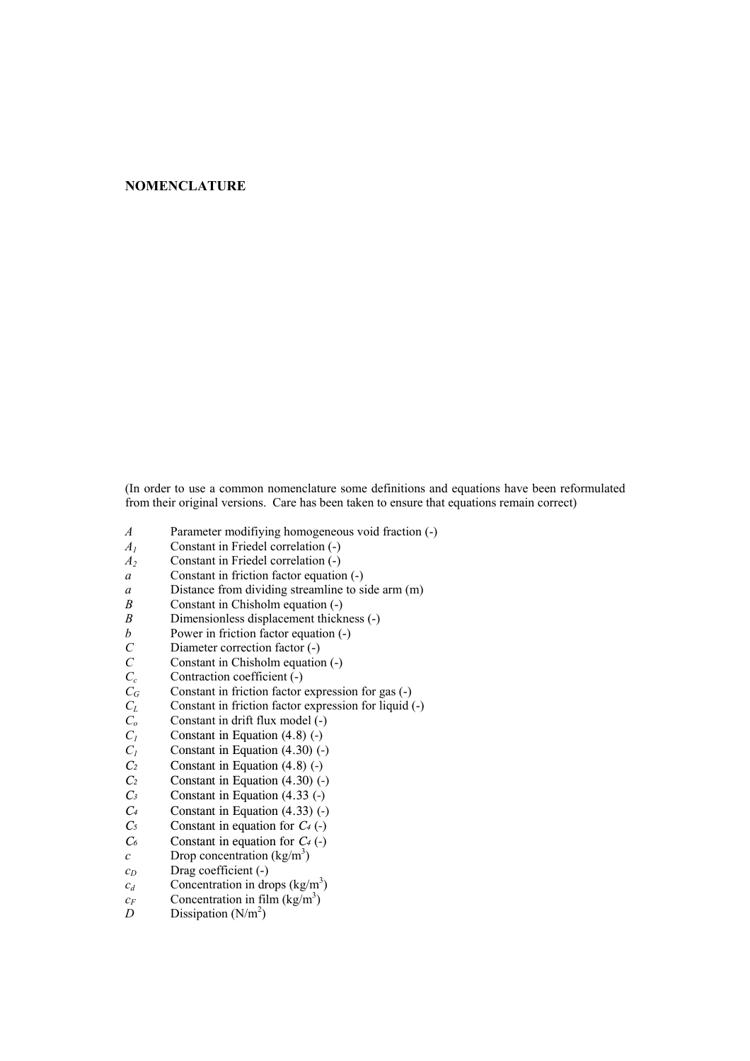## **NOMENCLATURE**

(In order to use a common nomenclature some definitions and equations have been reformulated from their original versions. Care has been taken to ensure that equations remain correct)

- *A* Parameter modifiying homogeneous void fraction (-)
- *A1* Constant in Friedel correlation (-)
- *A2* Constant in Friedel correlation (-)
- *a* Constant in friction factor equation (-)
- *a* Distance from dividing streamline to side arm (m)
- *B* Constant in Chisholm equation (-)
- *B* Dimensionless displacement thickness (-)
- *b* Power in friction factor equation (-)<br>*C* Diameter correction factor (-)
- *C* Diameter correction factor (-)<br>*C* Constant in Chisholm equatio
- *C* Constant in Chisholm equation (-)<br>*C<sub>c</sub>* Contraction coefficient (-)
- $C_c$  Contraction coefficient (-)<br>  $C_G$  Constant in friction factor of
- Constant in friction factor expression for gas (-)
- *CL* Constant in friction factor expression for liquid (-)
- *C<sub>o</sub>* Constant in drift flux model (-)
- $C_1$  Constant in Equation (4.8) (-)
- $C_1$  Constant in Equation (4.30) (-)<br>*C<sub>2</sub>* Constant in Equation (4.8) (-)
- Constant in Equation (4.8) (-)
- *C2* Constant in Equation (4.30) (-)
- *C3* Constant in Equation (4.33 (-)
- *C4* Constant in Equation (4.33) (-)
- *C5* Constant in equation for *C4* (-)
- *C6* Constant in equation for *C4* (-)
- *c* Drop concentration  $(kg/m<sup>3</sup>)$
- $c_D$  Drag coefficient (-)
- $c_d$  Concentration in drops (kg/m<sup>3</sup>)
- $c_F$  Concentration in film (kg/m<sup>3</sup>)
- *D* Dissipation  $(N/m^2)$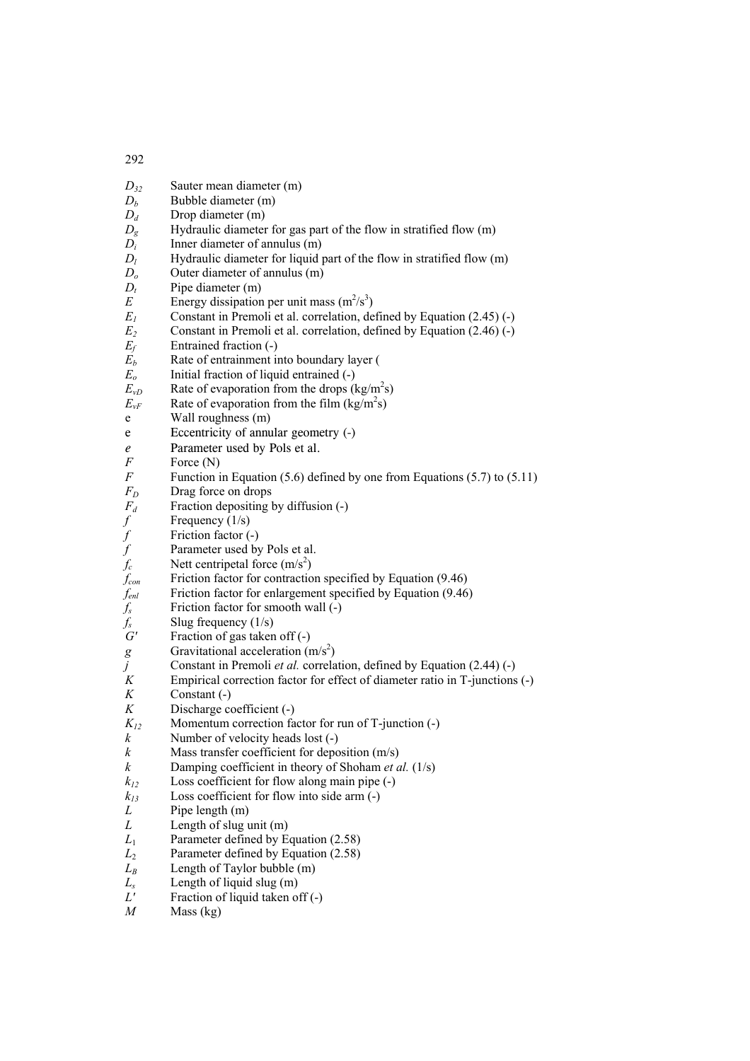*D32* Sauter mean diameter (m)  $D_b$  Bubble diameter (m) *D<sub>d</sub>* Drop diameter (m) *D<sub>o</sub>* Hydraulic diameter for gas part of the flow in stratified flow (m)  $\overrightarrow{D_i}$  Inner diameter of annulus (m)<br> $\overrightarrow{D_i}$  Hydraulic diameter for liquid i *D<sub>l</sub>* Hydraulic diameter for liquid part of the flow in stratified flow (m)  $D<sub>o</sub>$  Outer diameter of annulus (m) *Do* Outer diameter of annulus (m)  $D_t$  Pipe diameter (m)<br>*E* Energy dissination *E* Energy dissipation per unit mass  $(m^2/s^3)$  $E_1$  Constant in Premoli et al. correlation, defined by Equation (2.45) (-) *E<sub>2</sub>* Constant in Premoli et al. correlation, defined by Equation (2.46) (-) *Ef* Entrained fraction (-)  $\overrightarrow{E}_b$  Rate of entrainment into boundary layer ( *E<sub>o</sub>* Initial fraction of liquid entrained (-)<br>*E*<sub>vD</sub> Rate of evaporation from the drops (1)  $E_{vD}$  Rate of evaporation from the drops (kg/m<sup>2</sup>s)  $E_{vF}$  Rate of evaporation from the film (kg/m<sup>2</sup>s) e Wall roughness (m) e Eccentricity of annular geometry (-) *e* Parameter used by Pols et al.<br>
F Force (N) *F* Force (N)<br>*F* Function i *Function in Equation (5.6) defined by one from Equations (5.7) to (5.11)*  $F_D$  Drag force on drops<br> $F_d$  Fraction depositing  $F_d$  Fraction depositing by diffusion (-)<br>*f* Frequency (1/s) *f* Frequency (1/s)<br>*f* Friction factor (*f* Parameter used *f* Friction factor (-) *f* Parameter used by Pols et al.<br> *f<sub>c</sub>* Nett centripetal force  $(m/s^2)$ 

 $f_c$  Nett centripetal force  $(m/s^2)$ 

 $f_s$  Friction factor for smooth wall (-)

 $f_s$  Slug frequency (1/s)<br>*G'* Fraction of gas taken Fraction of gas taken off (-) *g* Gravitational acceleration  $(m/s^2)$ *j* Constant in Premoli *et al.* correlation, defined by Equation (2.44) (-) <br>*K* Empirical correction factor for effect of diameter ratio in T-iunctions Empirical correction factor for effect of diameter ratio in T-junctions (-) *K* Constant (-)<br>*K* Discharge co Discharge coefficient (-)  $K_{12}$  Momentum correction factor for run of T-junction (-)<br>*k* Number of velocity heads lost (-) Number of velocity heads lost (-) *k* Mass transfer coefficient for deposition (m/s) *k* Damping coefficient in theory of Shoham *et al.* (1/s)  $k_1$ <sup>2</sup> Loss coefficient for flow along main pipe  $(-)$  $k_{13}$  Loss coefficient for flow into side arm  $(-)$ 

 $f_{con}$  Friction factor for contraction specified by Equation (9.46) *fenl* Friction factor for enlargement specified by Equation (9.46)

- *L* Pipe length (m)
- 
- *L* Length of slug unit (m)<br>*L*<sub>1</sub> Parameter defined by E Parameter defined by Equation (2.58)
- $L_2$  Parameter defined by Equation  $(2.58)$
- *L<sub>B</sub>* Length of Taylor bubble (m)
- $L_s$  Length of liquid slug (m)<br> $L'$  Fraction of liquid taken of
- Fraction of liquid taken off (-)
- *M* Mass (kg)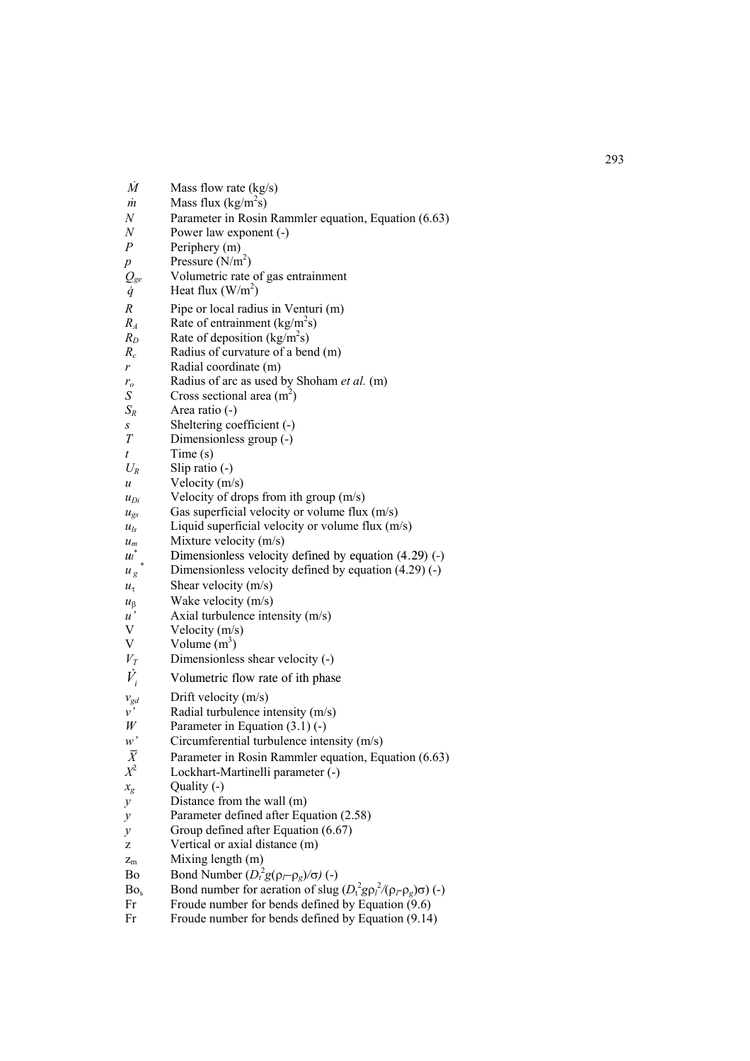| $\dot{M}$                              | Mass flow rate $(kg/s)$                                                            |
|----------------------------------------|------------------------------------------------------------------------------------|
| m                                      | Mass flux $(kg/m2s)$                                                               |
| N                                      | Parameter in Rosin Rammler equation, Equation (6.63)                               |
| $\boldsymbol{N}$<br>$\cal P$           | Power law exponent (-)                                                             |
|                                        | Periphery (m)<br>Pressure $(N/m^2)$                                                |
| $\boldsymbol{p}$                       | Volumetric rate of gas entrainment                                                 |
| $\mathcal{Q}_{ge} \ \dot{q}$           | Heat flux $(W/m^2)$                                                                |
| $\boldsymbol{R}$                       | Pipe or local radius in Venturi (m)                                                |
| $R_A$                                  | Rate of entrainment $(kg/m2s)$                                                     |
| $R_D$                                  | Rate of deposition $(kg/m2s)$                                                      |
| $R_c$                                  | Radius of curvature of a bend (m)                                                  |
| r                                      | Radial coordinate (m)                                                              |
| $r_{o}$                                | Radius of arc as used by Shoham et al. (m)                                         |
| $\boldsymbol{S}$                       | Cross sectional area $(m2)$                                                        |
| $S_R$                                  | Area ratio (-)                                                                     |
| S                                      | Sheltering coefficient (-)                                                         |
| T                                      | Dimensionless group (-)                                                            |
| t                                      | Time(s)                                                                            |
| $U_R$                                  | Slip ratio $(-)$                                                                   |
| u                                      | Velocity (m/s)                                                                     |
| $u_{Di}$                               | Velocity of drops from ith group $(m/s)$                                           |
| $u_{\rm gs}$                           | Gas superficial velocity or volume flux (m/s)                                      |
| $u_{ls}$                               | Liquid superficial velocity or volume flux $(m/s)$                                 |
| $u_m$                                  | Mixture velocity $(m/s)$                                                           |
| $\mathcal{U}$                          | Dimensionless velocity defined by equation $(4.29)$ (-)                            |
| $u_{g}$                                | Dimensionless velocity defined by equation $(4.29)$ (-)                            |
| $u_{\tau}$                             | Shear velocity (m/s)                                                               |
| $u_{\beta}$<br>$\mathfrak{u}^{\prime}$ | Wake velocity (m/s)<br>Axial turbulence intensity (m/s)                            |
| V                                      | Velocity $(m/s)$                                                                   |
| V                                      | Volume $(m^3)$                                                                     |
| $V_T$                                  | Dimensionless shear velocity (-)                                                   |
| $\dot{V}_i$                            | Volumetric flow rate of ith phase                                                  |
|                                        |                                                                                    |
| $v_{gd}$                               | Drift velocity $(m/s)$                                                             |
| $\nu'$<br>W                            | Radial turbulence intensity (m/s)<br>Parameter in Equation $(3.1)$ (-)             |
| w'                                     | Circumferential turbulence intensity $(m/s)$                                       |
| $\bar{X}$                              | Parameter in Rosin Rammler equation, Equation (6.63)                               |
| $X^2$                                  | Lockhart-Martinelli parameter (-)                                                  |
| $x_g$                                  | Quality (-)                                                                        |
| $\mathcal{Y}$                          | Distance from the wall (m)                                                         |
| $\mathcal{Y}$                          | Parameter defined after Equation (2.58)                                            |
| у                                      | Group defined after Equation (6.67)                                                |
| z                                      | Vertical or axial distance (m)                                                     |
| $z_{m}$                                | Mixing length (m)                                                                  |
| Bo                                     | Bond Number $(D_t^2 g(\rho_l - \rho_g)/\sigma)$ (-)                                |
| Bo <sub>s</sub>                        | Bond number for aeration of slug $(D_t^2 g \rho_l^2/(\rho_l - \rho_g) \sigma)$ (-) |
| Fr                                     | Froude number for bends defined by Equation (9.6)                                  |
| Fr                                     | Froude number for bends defined by Equation (9.14)                                 |
|                                        |                                                                                    |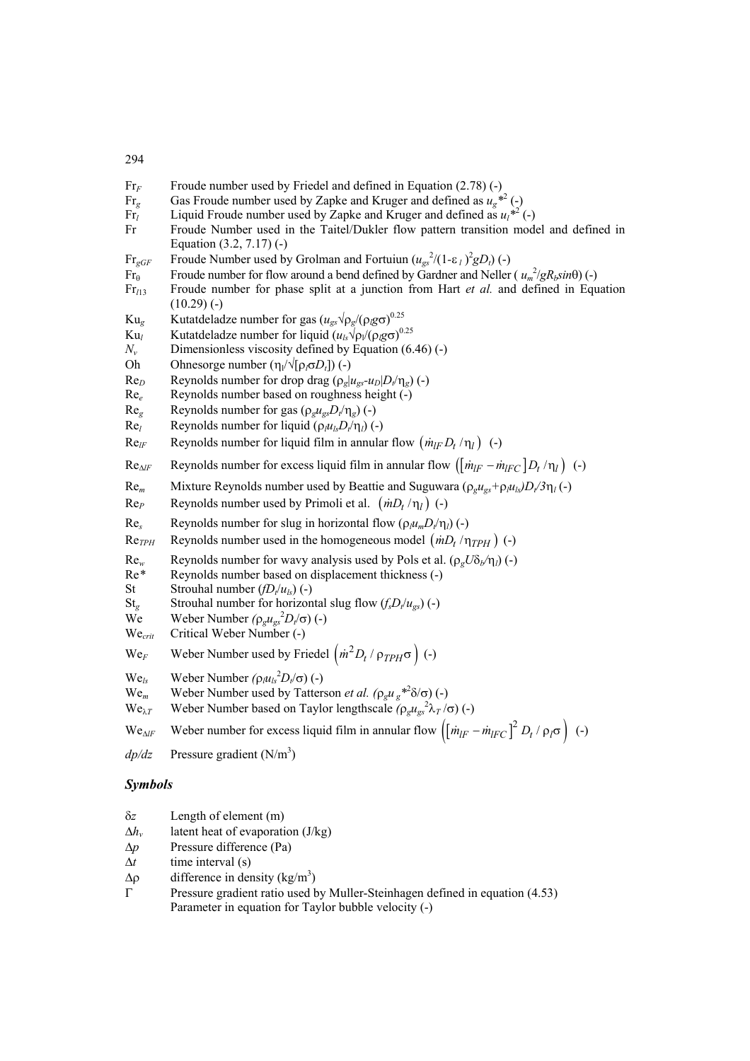- Fr<sub>F</sub> Froude number used by Friedel and defined in Equation (2.78) (-)
	- Fr<sub>g</sub> Gas Froude number used by Zapke and Kruger and defined as  $u_g^*$  (-)
	- Fr<sub>l</sub> Liquid Froude number used by Zapke and Kruger and defined as  $u_1^{*2}$  (-)
	- Fr Froude Number used in the Taitel/Dukler flow pattern transition model and defined in Equation (3.2, 7.17) (-)
	- Fr<sub>gGF</sub> Froude Number used by Grolman and Fortuiun  $(u_{gs}^2/(1-\epsilon_l)^2 gD_t)$  (-)
	- Fr<sub>e</sub> Froude number for flow around a bend defined by Gardner and Neller ( $u_m^2/gR_bsin\theta$ ) (-)
	- Fr*l*<sup>13</sup> Froude number for phase split at a junction from Hart *et al.* and defined in Equation  $(10.29)$  (-)
	- Ku<sub>g</sub> Kutatdeladze number for gas  $(u_{gs} \sqrt{\rho_g/(\rho_g \sigma)})^{0.25}$
	- Ku<sub>l</sub> Kutatdeladze number for liquid  $(u_{ls}\sqrt{\rho_1/(\rho_l g \sigma)}^{0.25})$
	- $N_v$  Dimensionless viscosity defined by Equation (6.46) (-)
	- Oh Ohnesorge number  $(\eta_1/\sqrt{\rho_0D_t})$  (-)
	- Re<sub>*D*</sub> Reynolds number for drop drag  $(\rho_g | u_{gs} u_D| D_f / \eta_g)$  (-)
	- Re*<sup>e</sup>* Reynolds number based on roughness height (-)
	- $\text{Re}_\sigma$  Reynolds number for gas  $(\rho_g u_{gs} D_t/\eta_g)$  (-)
	- Re<sub>l</sub> Reynolds number for liquid  $(\rho_l u_l D_r/\eta_l)$  (-)
	- Re<sub>*lF*</sub> Reynolds number for liquid film in annular flow  $(m_{IF}D_t/\eta_l)$  (-)
	- $Re_{\Delta lF}$  Reynolds number for excess liquid film in annular flow  $(\left[\dot{m}_{IF} \dot{m}_{IFC} \right] D_t / \eta_l)$  (-)
	- Re<sub>m</sub> Mixture Reynolds number used by Beattie and Suguwara ( $\rho_g u_{gs} + \rho_l u_{ls}/D_t / 3\eta_l$  (-)
	- $\text{Re}_P$  Reynolds number used by Primoli et al.  $\left(\frac{mD_t}{\eta_l}\right)$  (-)
	- Re<sub>s</sub> Reynolds number for slug in horizontal flow  $(\rho \mu_m D_t/\eta_l)$  (-)
	- Re<sub>TPH</sub> Reynolds number used in the homogeneous model  $\left(\dot{m}D_t/\eta_{TPH}\right)$  (-)
	- Re<sub>*w*</sub> Reynolds number for wavy analysis used by Pols et al. ( $ρ<sub>g</sub>Uδ<sub>b</sub>/η<sub>l</sub>$ ) (-)
	- Re*\** Reynolds number based on displacement thickness (-)
	- St Strouhal number  $(fD_t/u_{ls})$  (-)
	- St<sub>g</sub> Strouhal number for horizontal slug flow  $(f_s D_t/u_{gs})$  (-)
	- We Weber Number  $(\rho_g u_{gs}^2 D_t/\sigma)$  (-)
	- We*crit* Critical Weber Number (-)
	- We<sub>F</sub> Weber Number used by Friedel  $\left(\frac{\dot{m}^2 D_t}{\rho_{TPH}\sigma}\right)$  (-)
	- $We<sub>ls</sub>$  Weber Number  $(\rho_l u_{ls}^2 D_l / \sigma)$  (-)
	- We<sub>m</sub> Weber Number used by Tatterson *et al.*  $(\rho_g u_g *^2 \delta / \sigma) (-)$
	- We<sub>λ*T*</sub> Weber Number based on Taylor lengthscale  $(\rho_g u_{gs}^2 \lambda_T / \sigma)$  (-)

We<sub>∆*IF*</sub> Weber number for excess liquid film in annular flow  $\left[ \left[ \dot{m}_{IF} - \dot{m}_{IFC} \right]^2 D_t / \rho_I \sigma \right)$  (-)

 $dp/dz$  Pressure gradient (N/m<sup>3</sup>)

## *Symbols*

- δ*z* Length of element (m)
- ∆*hv* latent heat of evaporation (J/kg)
- ∆*p* Pressure difference (Pa)
- ∆*t* time interval (s)
- $Δρ$  difference in density (kg/m<sup>3</sup>)
- Γ Pressure gradient ratio used by Muller-Steinhagen defined in equation (4.53) Parameter in equation for Taylor bubble velocity (-)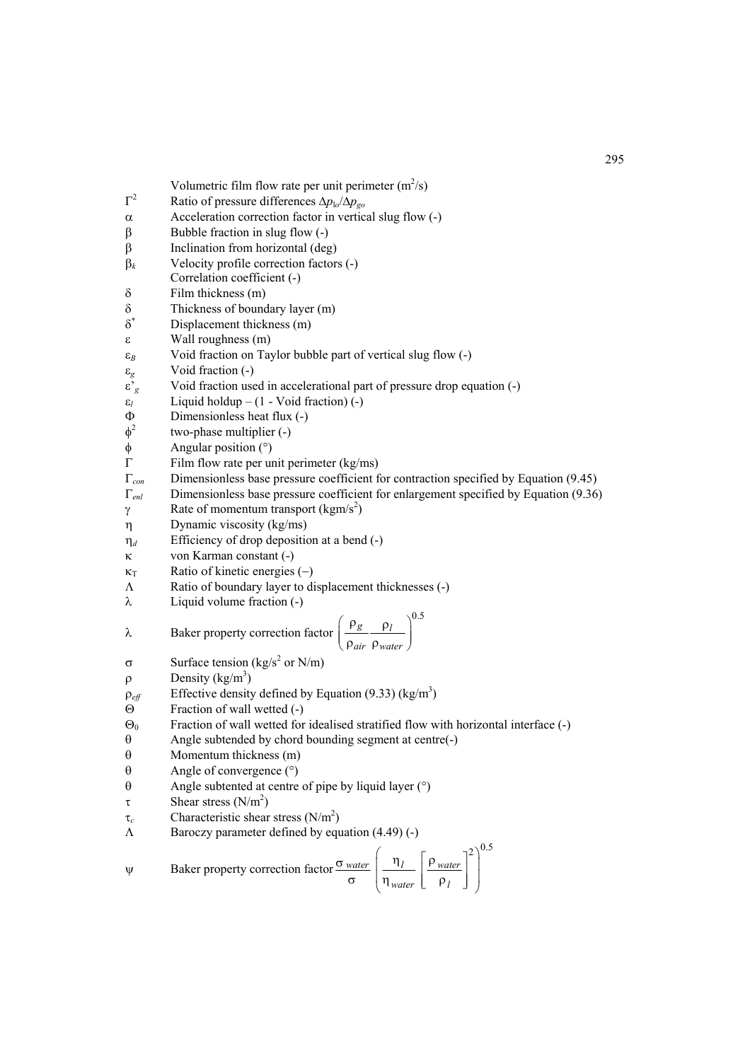Volumetric film flow rate per unit perimeter  $(m^2/s)$ 

- Γ<sup>2</sup> Ratio of pressure differences ∆*p*l*o*/∆*pgo*
- α Acceleration correction factor in vertical slug flow (-)
- β Bubble fraction in slug flow (-)
- β Inclination from horizontal (deg)
- β*<sup>k</sup>* Velocity profile correction factors (-)
- Correlation coefficient (-)
- $\delta$  Film thickness (m)
- δ Thickness of boundary layer (m)
- δ∗ Displacement thickness (m)
- ε Wall roughness (m)
- ε*<sup>B</sup>* Void fraction on Taylor bubble part of vertical slug flow (-)
- ε*<sup>g</sup>* Void fraction (-)
- ε'*<sup>g</sup>* Void fraction used in accelerational part of pressure drop equation (-)
- $\varepsilon$ <sup>*l*</sup> Liquid holdup (1 Void fraction) (-)
- $Φ$  Dimensionless heat flux (-)<br> $φ<sup>2</sup>$  two-phase multiplier (-)
- two-phase multiplier (-)
- $\phi$  Angular position (°)<br>  $\Gamma$  Film flow rate per un
- Γ Film flow rate per unit perimeter (kg/ms)
- Γ*con* Dimensionless base pressure coefficient for contraction specified by Equation (9.45)
- Γ*enl* Dimensionless base pressure coefficient for enlargement specified by Equation (9.36)
- $\gamma$  Rate of momentum transport (kgm/s<sup>2</sup>)
- η Dynamic viscosity (kg/ms)
- η*<sup>d</sup>* Efficiency of drop deposition at a bend (-)
- κ von Karman constant (-)
- $\kappa$ <sub>T</sub> Ratio of kinetic energies (−)
- Λ Ratio of boundary layer to displacement thicknesses (-)
- $λ$  Liquid volume fraction (-)

$$
λ
$$
 Baker property correction factor  $\left(\frac{\rho_g}{\rho_{air}} \frac{\rho_l}{\rho_{water}}\right)^{0.5}$ 

- σ Surface tension (kg/s<sup>2</sup> or N/m)
- $ρ$  Density (kg/m<sup>3</sup>)
- $\rho_{\text{eff}}$  Effective density defined by Equation (9.33) (kg/m<sup>3</sup>)
- Θ Fraction of wall wetted (-)
- $\Theta_0$  Fraction of wall wetted for idealised stratified flow with horizontal interface (-)
- θ Angle subtended by chord bounding segment at centre(-)
- θ Momentum thickness (m)
- θ Angle of convergence (°)
- θ Angle subtented at centre of pipe by liquid layer (°)
- $\tau$  Shear stress (N/m<sup>2</sup>)
- $\tau_c$  Characteristic shear stress (N/m<sup>2</sup>)
- Λ Baroczy parameter defined by equation (4.49) (-)

$$
\psi
$$
 Baker property correction factor  $\frac{\sigma_{water}}{\sigma} \left( \frac{\eta_l}{\eta_{water}} \left[ \frac{\rho_{water}}{\rho_l} \right]^2 \right)^{0.5}$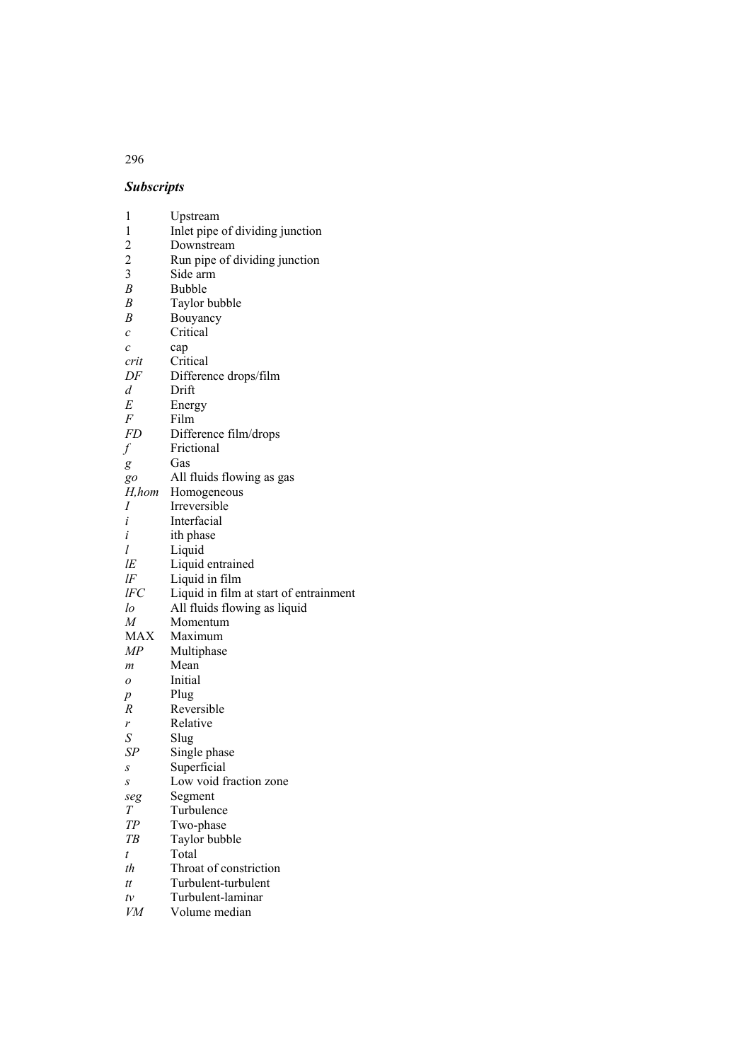## *Subscripts*

| 1                     | Upstream                               |
|-----------------------|----------------------------------------|
| 1                     |                                        |
|                       | Inlet pipe of dividing junction        |
| $\overline{c}$        | Downstream                             |
| $\overline{c}$        | Run pipe of dividing junction          |
| $\overline{3}$        | Side arm                               |
| B                     | <b>Bubble</b>                          |
| $\boldsymbol{B}$      | Taylor bubble                          |
| B                     | Bouyancy                               |
| $\mathcal{C}_{0}^{2}$ | Critical                               |
| $\mathcal{C}_{0}^{2}$ | cap                                    |
| crit                  | Critical                               |
| DF                    | Difference drops/film                  |
| d                     | Drift                                  |
| E                     | Energy                                 |
| F                     | Film                                   |
| FD                    | Difference film/drops                  |
| $\int$                | Frictional                             |
|                       | Gas                                    |
| g                     | All fluids flowing as gas              |
| go<br>H,hom           | Homogeneous                            |
| Ι                     | Irreversible                           |
| i                     | Interfacial                            |
| i                     |                                        |
| l                     | ith phase                              |
|                       | Liquid                                 |
| lE                    | Liquid entrained                       |
| lF                    | Liquid in film                         |
| lFC                   | Liquid in film at start of entrainment |
| lo                    | All fluids flowing as liquid           |
| M                     | Momentum                               |
| MAX                   | Maximum                                |
| МP                    | Multiphase                             |
| m                     | Mean                                   |
| 0                     | Initial                                |
| p                     | Plug                                   |
| R                     | Reversible                             |
| r                     | Relative                               |
| S                     | Slug                                   |
| SΡ                    | Single phase                           |
| S                     | Superficial                            |
| S                     | Low void fraction zone                 |
| seg                   | Segment                                |
| Т                     | Turbulence                             |
| TР                    | Two-phase                              |
| ТB                    | Taylor bubble                          |
| t                     | Total                                  |
|                       |                                        |
| th                    | Throat of constriction                 |
| tt                    | Turbulent-turbulent                    |
| tv                    | Turbulent-laminar                      |